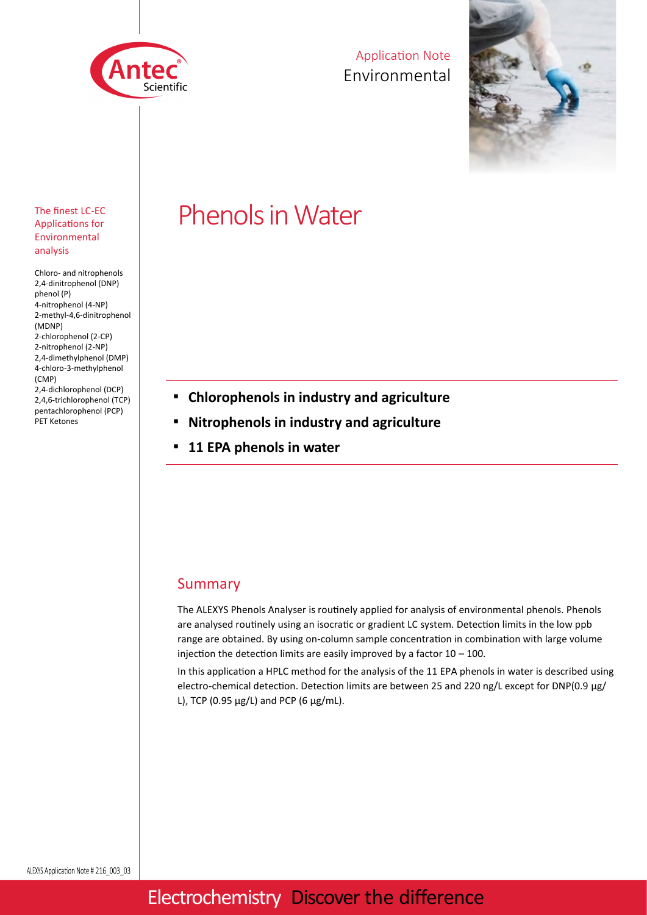

Application Note Environmental



#### The finest LC-EC Applications for Environmental analysis

Chloro- and nitrophenols 2,4-dinitrophenol (DNP) phenol (P) 4-nitrophenol (4-NP) 2-methyl-4,6-dinitrophenol (MDNP) 2-chlorophenol (2-CP) 2-nitrophenol (2-NP) 2,4-dimethylphenol (DMP) 4-chloro-3-methylphenol (CMP) 2,4-dichlorophenol (DCP) 2,4,6-trichlorophenol (TCP) pentachlorophenol (PCP) PET Ketones

# Phenols in Water

- **Chlorophenols in industry and agriculture**
- **Nitrophenols in industry and agriculture**
- 11 EPA phenols in water

#### Summary

The ALEXYS Phenols Analyser is routinely applied for analysis of environmental phenols. Phenols are analysed routinely using an isocratic or gradient LC system. Detection limits in the low ppb range are obtained. By using on-column sample concentration in combination with large volume injection the detection limits are easily improved by a factor  $10 - 100$ .

In this application a HPLC method for the analysis of the 11 EPA phenols in water is described using electro-chemical detection. Detection limits are between 25 and 220 ng/L except for DNP(0.9 μg/ L), TCP (0.95  $\mu$ g/L) and PCP (6  $\mu$ g/mL).

### Electrochemistry Discover the difference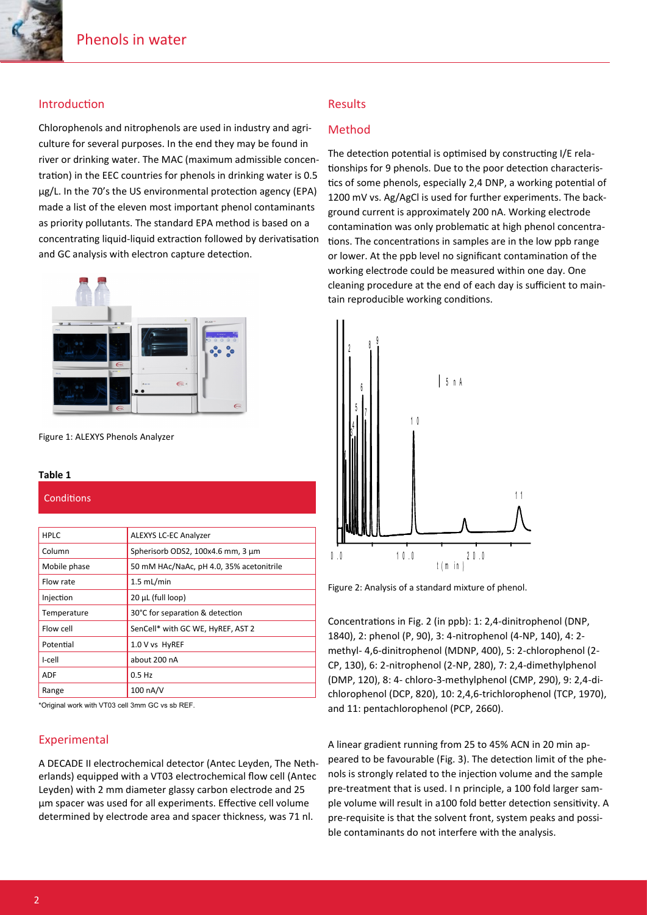#### Introduction

Chlorophenols and nitrophenols are used in industry and agriculture for several purposes. In the end they may be found in river or drinking water. The MAC (maximum admissible concentration) in the EEC countries for phenols in drinking water is 0.5 μg/L. In the 70's the US environmental protection agency (EPA) made a list of the eleven most important phenol contaminants as priority pollutants. The standard EPA method is based on a concentrating liquid-liquid extraction followed by derivatisation and GC analysis with electron capture detection.



Figure 1: ALEXYS Phenols Analyzer

#### **Table 1**

**Conditions** 

| <b>HPLC</b>  | <b>ALEXYS LC-EC Analyzer</b>             |
|--------------|------------------------------------------|
| Column       | Spherisorb ODS2, 100x4.6 mm, 3 µm        |
| Mobile phase | 50 mM HAc/NaAc, pH 4.0, 35% acetonitrile |
| Flow rate    | $1.5$ mL/min                             |
| Injection    | 20 µL (full loop)                        |
| Temperature  | 30°C for separation & detection          |
| Flow cell    | SenCell* with GC WE, HyREF, AST 2        |
| Potential    | 1.0 V vs HyREF                           |
| I-cell       | about 200 nA                             |
| ADF          | $0.5$ Hz                                 |
| Range        | 100 nA/V                                 |
|              |                                          |

\*Original work with VT03 cell 3mm GC vs sb REF.

#### Experimental

A DECADE II electrochemical detector (Antec Leyden, The Netherlands) equipped with a VT03 electrochemical flow cell (Antec Leyden) with 2 mm diameter glassy carbon electrode and 25 μm spacer was used for all experiments. Effective cell volume determined by electrode area and spacer thickness, was 71 nl.

#### Results

#### Method

The detection potential is optimised by constructing I/E relationships for 9 phenols. Due to the poor detection characteristics of some phenols, especially 2,4 DNP, a working potential of 1200 mV vs. Ag/AgCl is used for further experiments. The background current is approximately 200 nA. Working electrode contamination was only problematic at high phenol concentrations. The concentrations in samples are in the low ppb range or lower. At the ppb level no significant contamination of the working electrode could be measured within one day. One cleaning procedure at the end of each day is sufficient to maintain reproducible working conditions.



Figure 2: Analysis of a standard mixture of phenol.

Concentrations in Fig. 2 (in ppb): 1: 2,4-dinitrophenol (DNP, 1840), 2: phenol (P, 90), 3: 4-nitrophenol (4-NP, 140), 4: 2 methyl- 4,6-dinitrophenol (MDNP, 400), 5: 2-chlorophenol (2- CP, 130), 6: 2-nitrophenol (2-NP, 280), 7: 2,4-dimethylphenol (DMP, 120), 8: 4- chloro-3-methylphenol (CMP, 290), 9: 2,4-dichlorophenol (DCP, 820), 10: 2,4,6-trichlorophenol (TCP, 1970), and 11: pentachlorophenol (PCP, 2660).

A linear gradient running from 25 to 45% ACN in 20 min appeared to be favourable (Fig. 3). The detection limit of the phenols is strongly related to the injection volume and the sample pre-treatment that is used. I n principle, a 100 fold larger sample volume will result in a100 fold better detection sensitivity. A pre-requisite is that the solvent front, system peaks and possible contaminants do not interfere with the analysis.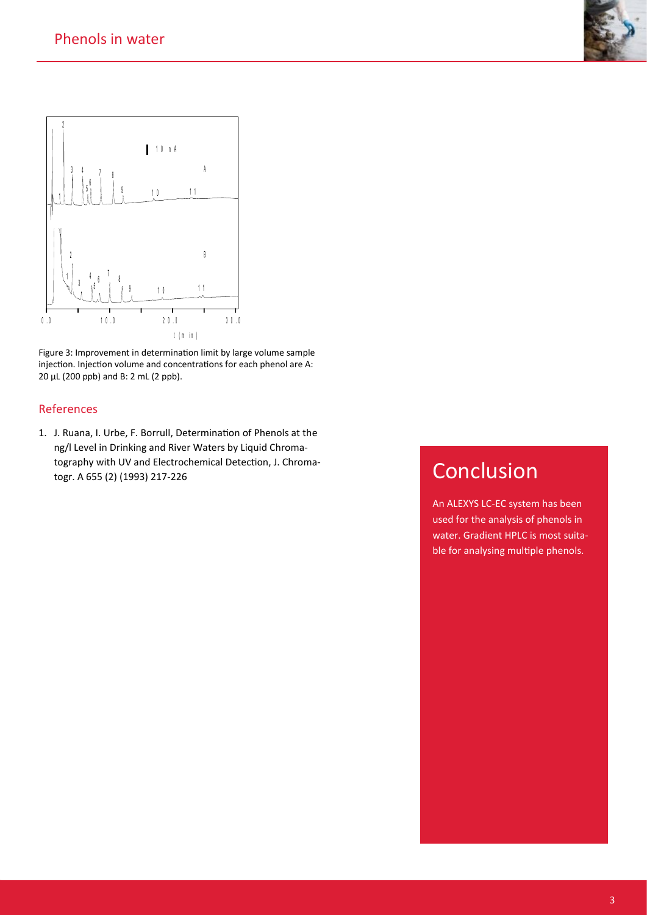



Figure 3: Improvement in determination limit by large volume sample injection. Injection volume and concentrations for each phenol are A: μL (200 ppb) and B: 2 mL (2 ppb).

#### References

1. J. Ruana, I. Urbe, F. Borrull, Determination of Phenols at the ng/l Level in Drinking and River Waters by Liquid Chromatography with UV and Electrochemical Detection, J. Chromatogr. A 655 (2) (1993) 217-226

## Conclusion

An ALEXYS LC-EC system has been used for the analysis of phenols in water. Gradient HPLC is most suitable for analysing multiple phenols.